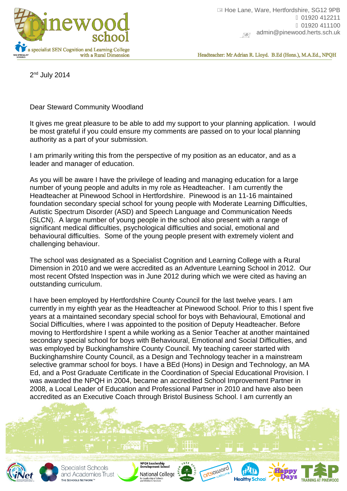

Headteacher: Mr Adrian R. Lloyd. B.Ed (Hons.), M.A.Ed., NPQH

2<sup>nd</sup> July 2014

Dear Steward Community Woodland

It gives me great pleasure to be able to add my support to your planning application. I would be most grateful if you could ensure my comments are passed on to your local planning authority as a part of your submission.

I am primarily writing this from the perspective of my position as an educator, and as a leader and manager of education.

As you will be aware I have the privilege of leading and managing education for a large number of young people and adults in my role as Headteacher. I am currently the Headteacher at Pinewood School in Hertfordshire. Pinewood is an 11-16 maintained foundation secondary special school for young people with Moderate Learning Difficulties, Autistic Spectrum Disorder (ASD) and Speech Language and Communication Needs (SLCN). A large number of young people in the school also present with a range of significant medical difficulties, psychological difficulties and social, emotional and behavioural difficulties. Some of the young people present with extremely violent and challenging behaviour.

The school was designated as a Specialist Cognition and Learning College with a Rural Dimension in 2010 and we were accredited as an Adventure Learning School in 2012. Our most recent Ofsted Inspection was in June 2012 during which we were cited as having an outstanding curriculum.

I have been employed by Hertfordshire County Council for the last twelve years. I am currently in my eighth year as the Headteacher at Pinewood School. Prior to this I spent five years at a maintained secondary special school for boys with Behavioural, Emotional and Social Difficulties, where I was appointed to the position of Deputy Headteacher. Before moving to Hertfordshire I spent a while working as a Senior Teacher at another maintained secondary special school for boys with Behavioural, Emotional and Social Difficulties, and was employed by Buckinghamshire County Council. My teaching career started with Buckinghamshire County Council, as a Design and Technology teacher in a mainstream selective grammar school for boys. I have a BEd (Hons) in Design and Technology, an MA Ed, and a Post Graduate Certificate in the Coordination of Special Educational Provision. I was awarded the NPQH in 2004, became an accredited School Improvement Partner in 2008, a Local Leader of Education and Professional Partner in 2010 and have also been accredited as an Executive Coach through Bristol Business School. I am currently an



Specialist Schools and Academies Trust THE SCHOOLS NETWORK<sup>"</sup>





**Healthy Schoo** 

**TRAINING AT PINEWOOD**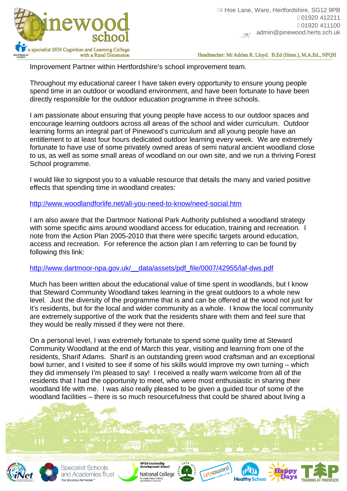

Headteacher: Mr Adrian R. Lloyd. B.Ed (Hons.), M.A.Ed., NPQH

Improvement Partner within Hertfordshire's school improvement team.

Throughout my educational career I have taken every opportunity to ensure young people spend time in an outdoor or woodland environment, and have been fortunate to have been directly responsible for the outdoor education programme in three schools.

I am passionate about ensuring that young people have access to our outdoor spaces and encourage learning outdoors across all areas of the school and wider curriculum. Outdoor learning forms an integral part of Pinewood's curriculum and all young people have an entitlement to at least four hours dedicated outdoor learning every week. We are extremely fortunate to have use of some privately owned areas of semi natural ancient woodland close to us, as well as some small areas of woodland on our own site, and we run a thriving Forest School programme.

I would like to signpost you to a valuable resource that details the many and varied positive effects that spending time in woodland creates:

<http://www.woodlandforlife.net/all-you-need-to-know/need-social.htm>

I am also aware that the Dartmoor National Park Authority published a woodland strategy with some specific aims around woodland access for education, training and recreation. I note from the Action Plan 2005-2010 that there were specific targets around education, access and recreation. For reference the action plan I am referring to can be found by following this link:

[http://www.dartmoor-npa.gov.uk/\\_\\_data/assets/pdf\\_file/0007/42955/laf-dws.pdf](http://www.dartmoor-npa.gov.uk/__data/assets/pdf_file/0007/42955/laf-dws.pdf)

Much has been written about the educational value of time spent in woodlands, but I know that Steward Community Woodland takes learning in the great outdoors to a whole new level. Just the diversity of the programme that is and can be offered at the wood not just for it's residents, but for the local and wider community as a whole. I know the local community are extremely supportive of the work that the residents share with them and feel sure that they would be really missed if they were not there.

On a personal level, I was extremely fortunate to spend some quality time at Steward Community Woodland at the end of March this year, visiting and learning from one of the residents, Sharif Adams. Sharif is an outstanding green wood craftsman and an exceptional bowl turner, and I visited to see if some of his skills would improve my own turning – which they did immensely I'm pleased to say! I received a really warm welcome from all of the residents that I had the opportunity to meet, who were most enthusiastic in sharing their woodland life with me. I was also really pleased to be given a guided tour of some of the woodland facilities – there is so much resourcefulness that could be shared about living a



Specialist Schools and Academies Trust THE SCHOOLS NETWORK<sup>"</sup>